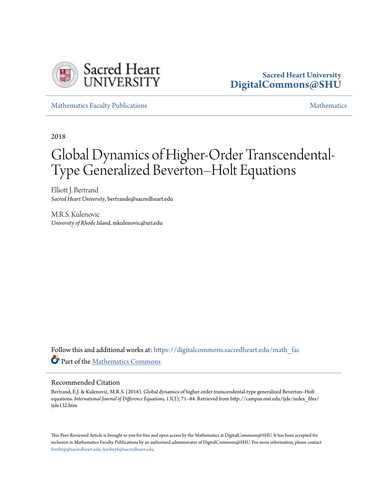

#### **Sacred Heart University [DigitalCommons@SHU](https://digitalcommons.sacredheart.edu?utm_source=digitalcommons.sacredheart.edu%2Fmath_fac%2F65&utm_medium=PDF&utm_campaign=PDFCoverPages)**

[Mathematics Faculty Publications](https://digitalcommons.sacredheart.edu/math_fac?utm_source=digitalcommons.sacredheart.edu%2Fmath_fac%2F65&utm_medium=PDF&utm_campaign=PDFCoverPages) **[Mathematics](https://digitalcommons.sacredheart.edu/math?utm_source=digitalcommons.sacredheart.edu%2Fmath_fac%2F65&utm_medium=PDF&utm_campaign=PDFCoverPages)** Mathematics Mathematics **Mathematics** 

2018

# Global Dynamics of Higher-Order Transcendental-Type Generalized Beverton–Holt Equations

Elliott J. Bertrand *Sacred Heart University*, bertrande@sacredheart.edu

M.R.S. Kulenovic *University of Rhode Island*, mkulenovic@uri.edu

Follow this and additional works at: [https://digitalcommons.sacredheart.edu/math\\_fac](https://digitalcommons.sacredheart.edu/math_fac?utm_source=digitalcommons.sacredheart.edu%2Fmath_fac%2F65&utm_medium=PDF&utm_campaign=PDFCoverPages) Part of the [Mathematics Commons](http://network.bepress.com/hgg/discipline/174?utm_source=digitalcommons.sacredheart.edu%2Fmath_fac%2F65&utm_medium=PDF&utm_campaign=PDFCoverPages)

#### Recommended Citation

Bertrand, E.J. & Kulenović, M.R.S. (2018). Global dynamics of higher-order transcendental-type generalized Beverton–Holt equations. *International Journal of Difference Equations, 13*(2), 71–84. Retrieved from http://campus.mst.edu/ijde/index\_files/ ijde132.htm

This Peer-Reviewed Article is brought to you for free and open access by the Mathematics at DigitalCommons@SHU. It has been accepted for inclusion in Mathematics Faculty Publications by an authorized administrator of DigitalCommons@SHU. For more information, please contact [ferribyp@sacredheart.edu, lysobeyb@sacredheart.edu.](mailto:ferribyp@sacredheart.edu,%20lysobeyb@sacredheart.edu)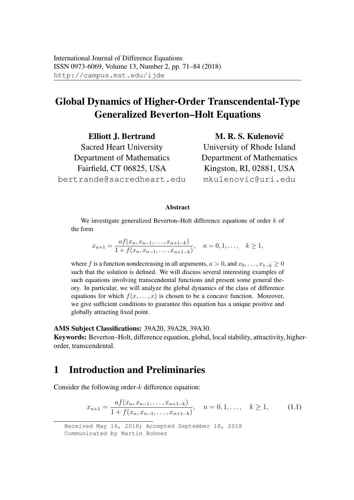## Global Dynamics of Higher-Order Transcendental-Type Generalized Beverton–Holt Equations

Elliott J. Bertrand Sacred Heart University Department of Mathematics Fairfield, CT 06825, USA bertrande@sacredheart.edu

M. R. S. Kulenović University of Rhode Island Department of Mathematics Kingston, RI, 02881, USA mkulenovic@uri.edu

#### **Abstract**

We investigate generalized Beverton–Holt difference equations of order  $k$  of the form

$$
x_{n+1} = \frac{af(x_n, x_{n-1}, \dots, x_{n+1-k})}{1 + f(x_n, x_{n-1}, \dots, x_{n+1-k})}, \quad n = 0, 1, \dots, k \ge 1,
$$

where f is a function nondecreasing in all arguments,  $a > 0$ , and  $x_0, \ldots, x_{1-k} \ge 0$ such that the solution is defined. We will discuss several interesting examples of such equations involving transcendental functions and present some general theory. In particular, we will analyze the global dynamics of the class of difference equations for which  $f(x, \ldots, x)$  is chosen to be a concave function. Moreover, we give sufficient conditions to guarantee this equation has a unique positive and globally attracting fixed point.

AMS Subject Classifications: 39A20, 39A28, 39A30.

Keywords: Beverton–Holt, difference equation, global, local stability, attractivity, higherorder, transcendental.

## 1 Introduction and Preliminaries

Consider the following order- $k$  difference equation:

$$
x_{n+1} = \frac{af(x_n, x_{n-1}, \dots, x_{n+1-k})}{1 + f(x_n, x_{n-1}, \dots, x_{n+1-k})}, \quad n = 0, 1, \dots, k \ge 1,
$$
 (1.1)

Received May 16, 2018; Accepted September 18, 2018 Communicated by Martin Bohner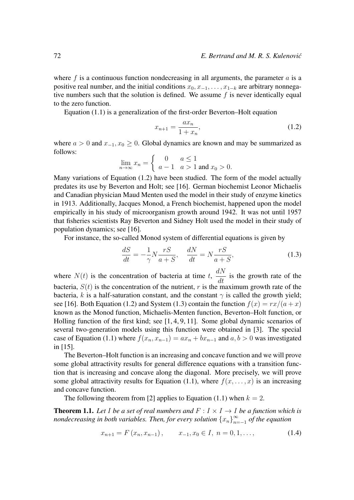where f is a continuous function nondecreasing in all arguments, the parameter  $\alpha$  is a positive real number, and the initial conditions  $x_0, x_{-1}, \ldots, x_{1-k}$  are arbitrary nonnegative numbers such that the solution is defined. We assume  $f$  is never identically equal to the zero function.

Equation (1.1) is a generalization of the first-order Beverton–Holt equation

$$
x_{n+1} = \frac{ax_n}{1 + x_n},
$$
\n(1.2)

where  $a > 0$  and  $x_{-1}, x_0 \ge 0$ . Global dynamics are known and may be summarized as follows:

$$
\lim_{n \to \infty} x_n = \begin{cases} 0 & a \le 1 \\ a - 1 & a > 1 \text{ and } x_0 > 0. \end{cases}
$$

Many variations of Equation (1.2) have been studied. The form of the model actually predates its use by Beverton and Holt; see [16]. German biochemist Leonor Michaelis and Canadian physician Maud Menten used the model in their study of enzyme kinetics in 1913. Additionally, Jacques Monod, a French biochemist, happened upon the model empirically in his study of microorganism growth around 1942. It was not until 1957 that fisheries scientists Ray Beverton and Sidney Holt used the model in their study of population dynamics; see [16].

For instance, the so-called Monod system of differential equations is given by

$$
\frac{dS}{dt} = -\frac{1}{\gamma} N \frac{rS}{a+S}, \quad \frac{dN}{dt} = N \frac{rS}{a+S}, \tag{1.3}
$$

where  $N(t)$  is the concentration of bacteria at time t,  $dN$  $\frac{d}{dt}$  is the growth rate of the bacteria,  $S(t)$  is the concentration of the nutrient, r is the maximum growth rate of the bacteria, k is a half-saturation constant, and the constant  $\gamma$  is called the growth yield; see [16]. Both Equation (1.2) and System (1.3) contain the function  $f(x) = rx/(a + x)$ known as the Monod function, Michaelis-Menten function, Beverton–Holt function, or Holling function of the first kind; see [1, 4, 9, 11]. Some global dynamic scenarios of several two-generation models using this function were obtained in [3]. The special case of Equation (1.1) where  $f(x_n, x_{n-1}) = ax_n + bx_{n-1}$  and  $a, b > 0$  was investigated in [15].

The Beverton–Holt function is an increasing and concave function and we will prove some global attractivity results for general difference equations with a transition function that is increasing and concave along the diagonal. More precisely, we will prove some global attractivity results for Equation (1.1), where  $f(x, \ldots, x)$  is an increasing and concave function.

The following theorem from [2] applies to Equation (1.1) when  $k = 2$ .

**Theorem 1.1.** Let I be a set of real numbers and  $F: I \times I \rightarrow I$  be a function which is *nondecreasing in both variables. Then, for every solution*  $\{x_n\}_{n=1}^{\infty}$ n=−1 *of the equation*

$$
x_{n+1} = F(x_n, x_{n-1}), \qquad x_{-1}, x_0 \in I, n = 0, 1, \dots,
$$
 (1.4)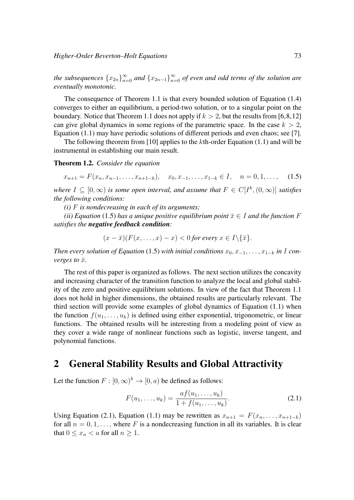the subsequences  $\{x_{2n}\}_{n=0}^{\infty}$  and  $\{x_{2n-1}\}_{n=0}^{\infty}$  of even and odd terms of the solution are *eventually monotonic.*

The consequence of Theorem 1.1 is that every bounded solution of Equation (1.4) converges to either an equilibrium, a period-two solution, or to a singular point on the boundary. Notice that Theorem 1.1 does not apply if  $k > 2$ , but the results from [6,8,12] can give global dynamics in some regions of the parametric space. In the case  $k > 2$ , Equation (1.1) may have periodic solutions of different periods and even chaos; see [7].

The following theorem from [10] applies to the  $k$ th-order Equation (1.1) and will be instrumental in establishing our main result.

#### Theorem 1.2. *Consider the equation*

 $x_{n+1} = F(x_n, x_{n-1}, \ldots, x_{n+1-k}), \quad x_0, x_{-1}, \ldots, x_{1-k} \in I, \quad n = 0, 1, \ldots, \quad (1.5)$ 

*where*  $I \subseteq [0, \infty)$  *is some open interval, and assume that*  $F \in C[I^k, (0, \infty)]$  *satisfies the following conditions:*

*(i)* F *is nondecreasing in each of its arguments;*

*(ii) Equation* (1.5) *has a unique positive equilibrium point*  $\bar{x} \in I$  *and the function* F *satisfies the negative feedback condition:*

 $(x - \bar{x})(F(x, \ldots, x) - x) < 0$  for every  $x \in I \setminus {\bar{x}}$ .

*Then every solution of Equation* (1.5) *with initial conditions*  $x_0, x_{-1}, \ldots, x_{1-k}$  *in* I *converges to*  $\bar{x}$ *.* 

The rest of this paper is organized as follows. The next section utilizes the concavity and increasing character of the transition function to analyze the local and global stability of the zero and positive equilibrium solutions. In view of the fact that Theorem 1.1 does not hold in higher dimensions, the obtained results are particularly relevant. The third section will provide some examples of global dynamics of Equation (1.1) when the function  $f(u_1, \ldots, u_k)$  is defined using either exponential, trigonometric, or linear functions. The obtained results will be interesting from a modeling point of view as they cover a wide range of nonlinear functions such as logistic, inverse tangent, and polynomial functions.

### 2 General Stability Results and Global Attractivity

Let the function  $F : [0, \infty)^k \to [0, a)$  be defined as follows:

$$
F(u_1, \ldots, u_k) = \frac{af(u_1, \ldots, u_k)}{1 + f(u_1, \ldots, u_k)}.
$$
\n(2.1)

Using Equation (2.1), Equation (1.1) may be rewritten as  $x_{n+1} = F(x_n, \ldots, x_{n+1-k})$ for all  $n = 0, 1, \ldots$ , where F is a nondecreasing function in all its variables. It is clear that  $0 \leq x_n \leq a$  for all  $n \geq 1$ .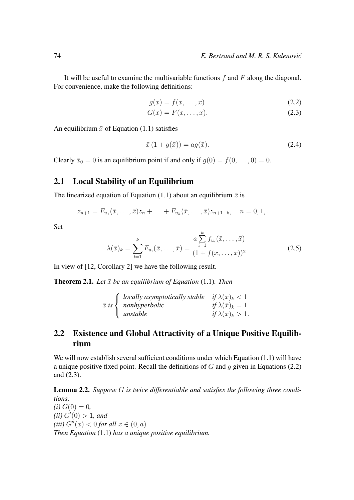It will be useful to examine the multivariable functions  $f$  and  $F$  along the diagonal. For convenience, make the following definitions:

$$
g(x) = f(x, \dots, x) \tag{2.2}
$$

$$
G(x) = F(x, \dots, x). \tag{2.3}
$$

An equilibrium  $\bar{x}$  of Equation (1.1) satisfies

$$
\bar{x}\left(1+g(\bar{x})\right) = ag(\bar{x}).\tag{2.4}
$$

Clearly  $\bar{x}_0 = 0$  is an equilibrium point if and only if  $g(0) = f(0, \ldots, 0) = 0$ .

#### 2.1 Local Stability of an Equilibrium

The linearized equation of Equation (1.1) about an equilibrium  $\bar{x}$  is

$$
z_{n+1} = F_{u_1}(\bar{x}, \ldots, \bar{x}) z_n + \ldots + F_{u_k}(\bar{x}, \ldots, \bar{x}) z_{n+1-k}, \quad n = 0, 1, \ldots.
$$

Set

$$
\lambda(\bar{x})_k = \sum_{i=1}^k F_{u_i}(\bar{x}, \dots, \bar{x}) = \frac{a \sum_{i=1}^k f_{u_i}(\bar{x}, \dots, \bar{x})}{(1 + f(\bar{x}, \dots, \bar{x}))^2}.
$$
 (2.5)

In view of [12, Corollary 2] we have the following result.

**Theorem 2.1.** Let  $\bar{x}$  be an equilibrium of Equation (1.1). Then

$$
\bar{x} \text{ is } \begin{cases} \text{ locally asymptotically stable} & \text{if } \lambda(\bar{x})_k < 1 \\ \text{nonhyperbolic} & \text{if } \lambda(\bar{x})_k = 1 \\ \text{unstable} & \text{if } \lambda(\bar{x})_k > 1. \end{cases}
$$

#### 2.2 Existence and Global Attractivity of a Unique Positive Equilibrium

We will now establish several sufficient conditions under which Equation (1.1) will have a unique positive fixed point. Recall the definitions of  $G$  and  $g$  given in Equations (2.2) and (2.3).

Lemma 2.2. *Suppose* G *is twice differentiable and satisfies the following three conditions:*  $(i) G(0) = 0,$  $(ii) G'(0) > 1, and$ *(iii)*  $G''(x) < 0$  *for all*  $x \in (0, a)$ *. Then Equation* (1.1) *has a unique positive equilibrium.*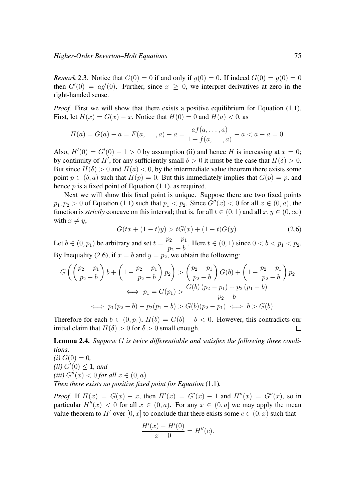*Remark* 2.3. Notice that  $G(0) = 0$  if and only if  $q(0) = 0$ . If indeed  $G(0) = q(0) = 0$ then  $G'(0) = a g'(0)$ . Further, since  $x \geq 0$ , we interpret derivatives at zero in the right-handed sense.

*Proof.* First we will show that there exists a positive equilibrium for Equation (1.1). First, let  $H(x) = G(x) - x$ . Notice that  $H(0) = 0$  and  $H(a) < 0$ , as

$$
H(a) = G(a) - a = F(a, ..., a) - a = \frac{af(a, ..., a)}{1 + f(a, ..., a)} - a < a - a = 0.
$$

Also,  $H'(0) = G'(0) - 1 > 0$  by assumption (ii) and hence H is increasing at  $x = 0$ ; by continuity of H', for any sufficiently small  $\delta > 0$  it must be the case that  $H(\delta) > 0$ . But since  $H(\delta) > 0$  and  $H(a) < 0$ , by the intermediate value theorem there exists some point  $p \in (\delta, a)$  such that  $H(p) = 0$ . But this immediately implies that  $G(p) = p$ , and hence  $p$  is a fixed point of Equation (1.1), as required.

Next we will show this fixed point is unique. Suppose there are two fixed points  $p_1, p_2 > 0$  of Equation (1.1) such that  $p_1 < p_2$ . Since  $G''(x) < 0$  for all  $x \in (0, a)$ , the function is *strictly* concave on this interval; that is, for all  $t \in (0, 1)$  and all  $x, y \in (0, \infty)$ with  $x \neq y$ ,

$$
G(tx + (1-t)y) > tG(x) + (1-t)G(y).
$$
\n(2.6)

Let  $b \in (0, p_1)$  be arbitrary and set  $t =$  $p_2 - p_1$  $p_2 - b$ . Here  $t \in (0, 1)$  since  $0 < b < p_1 < p_2$ . By Inequality (2.6), if  $x = b$  and  $y = p_2$ , we obtain the following:

$$
G\left(\left(\frac{p_2 - p_1}{p_2 - b}\right)b + \left(1 - \frac{p_2 - p_1}{p_2 - b}\right)p_2\right) > \left(\frac{p_2 - p_1}{p_2 - b}\right)G(b) + \left(1 - \frac{p_2 - p_1}{p_2 - b}\right)p_2
$$
  

$$
\iff p_1 = G(p_1) > \frac{G(b)(p_2 - p_1) + p_2(p_1 - b)}{p_2 - b}
$$
  

$$
\iff p_1(p_2 - b) - p_2(p_1 - b) > G(b)(p_2 - p_1) \iff b > G(b).
$$

Therefore for each  $b \in (0, p_1)$ ,  $H(b) = G(b) - b < 0$ . However, this contradicts our initial claim that  $H(\delta) > 0$  for  $\delta > 0$  small enough.

Lemma 2.4. *Suppose* G *is twice differentiable and satisfies the following three conditions:*

 $(i) G(0) = 0$ , *(ii)*  $G'(0) \leq 1$ *, and (iii)*  $G''(x) < 0$  *for all*  $x \in (0, a)$ *. Then there exists no positive fixed point for Equation* (1.1)*.*

*Proof.* If  $H(x) = G(x) - x$ , then  $H'(x) = G'(x) - 1$  and  $H''(x) = G''(x)$ , so in particular  $H''(x) < 0$  for all  $x \in (0, a)$ . For any  $x \in (0, a]$  we may apply the mean value theorem to H' over [0, x] to conclude that there exists some  $c \in (0, x)$  such that

$$
\frac{H'(x) - H'(0)}{x - 0} = H''(c).
$$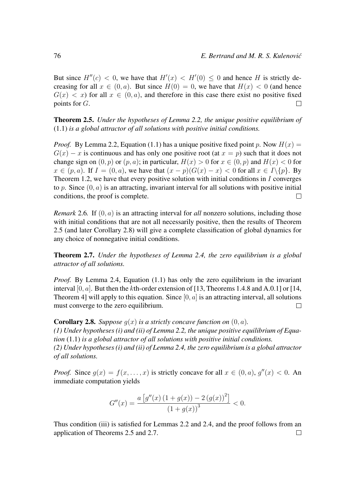But since  $H''(c) < 0$ , we have that  $H'(x) < H'(0) \leq 0$  and hence H is strictly decreasing for all  $x \in (0, a)$ . But since  $H(0) = 0$ , we have that  $H(x) < 0$  (and hence  $G(x) < x$  for all  $x \in (0, a)$ , and therefore in this case there exist no positive fixed points for G.  $\Box$ 

Theorem 2.5. *Under the hypotheses of Lemma 2.2, the unique positive equilibrium of* (1.1) *is a global attractor of all solutions with positive initial conditions.*

*Proof.* By Lemma 2.2, Equation (1.1) has a unique positive fixed point p. Now  $H(x) =$  $G(x) - x$  is continuous and has only one positive root (at  $x = p$ ) such that it does not change sign on  $(0, p)$  or  $(p, a)$ ; in particular,  $H(x) > 0$  for  $x \in (0, p)$  and  $H(x) < 0$  for  $x \in (p, a)$ . If  $I = (0, a)$ , we have that  $(x - p)(G(x) - x) < 0$  for all  $x \in I \setminus \{p\}$ . By Theorem 1.2, we have that every positive solution with initial conditions in  $I$  converges to p. Since  $(0, a)$  is an attracting, invariant interval for all solutions with positive initial conditions, the proof is complete.  $\Box$ 

*Remark* 2.6*.* If  $(0, a)$  is an attracting interval for *all* nonzero solutions, including those with initial conditions that are not all necessarily positive, then the results of Theorem 2.5 (and later Corollary 2.8) will give a complete classification of global dynamics for any choice of nonnegative initial conditions.

Theorem 2.7. *Under the hypotheses of Lemma 2.4, the zero equilibrium is a global attractor of all solutions.*

*Proof.* By Lemma 2.4, Equation (1.1) has only the zero equilibrium in the invariant interval [0,  $a$ ]. But then the kth-order extension of [13, Theorems 1.4.8 and A.0.1] or [14, Theorem 4] will apply to this equation. Since  $[0, a]$  is an attracting interval, all solutions must converge to the zero equilibrium.  $\Box$ 

**Corollary 2.8.** *Suppose*  $q(x)$  *is a strictly concave function on*  $(0, a)$ *. (1) Under hypotheses (i) and (ii) of Lemma 2.2, the unique positive equilibrium of Equation* (1.1) *is a global attractor of all solutions with positive initial conditions. (2) Under hypotheses (i) and (ii) of Lemma 2.4, the zero equilibrium is a global attractor of all solutions.*

*Proof.* Since  $g(x) = f(x, \dots, x)$  is strictly concave for all  $x \in (0, a)$ ,  $g''(x) < 0$ . An immediate computation yields

$$
G''(x) = \frac{a\left[g''(x)\left(1+g(x)\right)-2\left(g(x)\right)^2\right]}{\left(1+g(x)\right)^3} < 0.
$$

Thus condition (iii) is satisfied for Lemmas 2.2 and 2.4, and the proof follows from an application of Theorems 2.5 and 2.7. $\Box$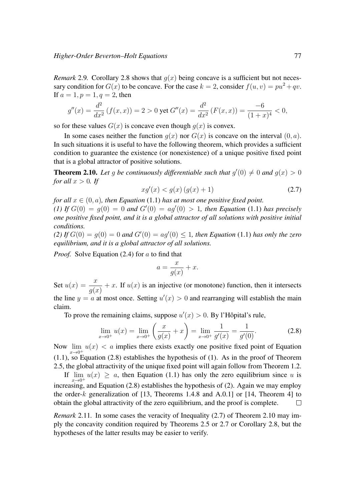*Remark* 2.9. Corollary 2.8 shows that  $q(x)$  being concave is a sufficient but not necessary condition for  $G(x)$  to be concave. For the case  $k = 2$ , consider  $f(u, v) = pu^2 + qv$ . If  $a = 1, p = 1, q = 2$ , then

$$
g''(x) = \frac{d^2}{dx^2} \left( f(x, x) \right) = 2 > 0 \text{ yet } G''(x) = \frac{d^2}{dx^2} \left( F(x, x) \right) = \frac{-6}{(1+x)^4} < 0,
$$

so for these values  $G(x)$  is concave even though  $g(x)$  is convex.

In some cases neither the function  $q(x)$  nor  $G(x)$  is concave on the interval  $(0, a)$ . In such situations it is useful to have the following theorem, which provides a sufficient condition to guarantee the existence (or nonexistence) of a unique positive fixed point that is a global attractor of positive solutions.

**Theorem 2.10.** Let g be continuously differentiable such that  $g'(0) \neq 0$  and  $g(x) > 0$ *for all*  $x > 0$ *. If* 

$$
xg'(x) < g(x)\left(g(x) + 1\right) \tag{2.7}
$$

*for all*  $x \in (0, a)$ *, then Equation* (1.1) *has at most one positive fixed point.* (1) If  $G(0) = g(0) = 0$  and  $G'(0) = ag'(0) > 1$ , then Equation (1.1) has precisely *one positive fixed point, and it is a global attractor of all solutions with positive initial conditions.*

(2) If  $G(0) = g(0) = 0$  and  $G'(0) = ag'(0) \le 1$ , then Equation (1.1) has only the zero *equilibrium, and it is a global attractor of all solutions.*

*Proof.* Solve Equation (2.4) for a to find that

$$
a = \frac{x}{g(x)} + x.
$$

Set  $u(x) = \frac{x}{g(x)} + x$ . If  $u(x)$  is an injective (or monotone) function, then it intersects the line  $y = a$  at most once. Setting  $u'(x) > 0$  and rearranging will establish the main claim.

To prove the remaining claims, suppose  $u'(x) > 0$ . By l'Hôpital's rule,

$$
\lim_{x \to 0^+} u(x) = \lim_{x \to 0^+} \left( \frac{x}{g(x)} + x \right) = \lim_{x \to 0^+} \frac{1}{g'(x)} = \frac{1}{g'(0)}.
$$
\n(2.8)

Now  $\lim_{x\to 0^+} u(x) < a$  implies there exists exactly one positive fixed point of Equation (1.1), so Equation (2.8) establishes the hypothesis of (1). As in the proof of Theorem 2.5, the global attractivity of the unique fixed point will again follow from Theorem 1.2.

If  $\lim_{x\to 0^+} u(x) \ge a$ , then Equation (1.1) has only the zero equilibrium since u is increasing, and Equation (2.8) establishes the hypothesis of (2). Again we may employ the order- $k$  generalization of [13, Theorems 1.4.8 and A.0.1] or [14, Theorem 4] to obtain the global attractivity of the zero equilibrium, and the proof is complete.  $\Box$ 

*Remark* 2.11. In some cases the veracity of Inequality (2.7) of Theorem 2.10 may imply the concavity condition required by Theorems 2.5 or 2.7 or Corollary 2.8, but the hypotheses of the latter results may be easier to verify.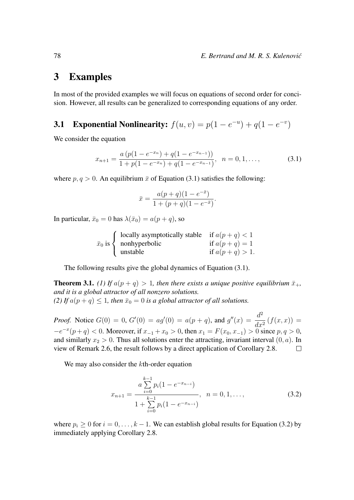### 3 Examples

In most of the provided examples we will focus on equations of second order for concision. However, all results can be generalized to corresponding equations of any order.

## **3.1** Exponential Nonlinearity:  $f(u, v) = p(1 - e^{-u}) + q(1 - e^{-v})$

We consider the equation

$$
x_{n+1} = \frac{a\left(p(1 - e^{-x_n}) + q(1 - e^{-x_{n-1}})\right)}{1 + p(1 - e^{-x_n}) + q(1 - e^{-x_{n-1}})}, \quad n = 0, 1, \dots,
$$
\n(3.1)

where  $p, q > 0$ . An equilibrium  $\bar{x}$  of Equation (3.1) satisfies the following:

$$
\bar{x} = \frac{a(p+q)(1 - e^{-\bar{x}})}{1 + (p+q)(1 - e^{-\bar{x}})}.
$$

In particular,  $\bar{x}_0 = 0$  has  $\lambda(\bar{x}_0) = a(p+q)$ , so

$$
\bar{x}_0 \text{ is } \begin{cases} \text{ locally asymptotically stable} & \text{if } a(p+q) < 1 \\ \text{nonhyperbolic} & \text{if } a(p+q) = 1 \\ \text{unstable} & \text{if } a(p+q) > 1. \end{cases}
$$

The following results give the global dynamics of Equation (3.1).

**Theorem 3.1.** *(1)* If  $a(p+q) > 1$ , then there exists a unique positive equilibrium  $\bar{x}_{+}$ , *and it is a global attractor of all nonzero solutions. (2) If*  $a(p+q) \leq 1$ *, then*  $\bar{x}_0 = 0$  *is a global attractor of all solutions.* 

*Proof.* Notice  $G(0) = 0$ ,  $G'(0) = ag'(0) = a(p+q)$ , and  $g''(x) = \frac{d^2}{dx^2}$  $\frac{d}{dx^2}(f(x,x)) =$  $-x$  $-e^{-x}(p+q) < 0$ . Moreover, if  $x_{-1} + x_0 > 0$ , then  $x_1 = F(x_0, x_{-1}) > 0$  since  $p, q > 0$ , and similarly  $x_2 > 0$ . Thus all solutions enter the attracting, invariant interval  $(0, a)$ . In view of Remark 2.6, the result follows by a direct application of Corollary 2.8.  $\Box$ 

We may also consider the kth-order equation

$$
x_{n+1} = \frac{a \sum_{i=0}^{k-1} p_i (1 - e^{-x_{n-i}})}{1 + \sum_{i=0}^{k-1} p_i (1 - e^{-x_{n-i}})}, \quad n = 0, 1, ..., \tag{3.2}
$$

where  $p_i \geq 0$  for  $i = 0, \ldots, k - 1$ . We can establish global results for Equation (3.2) by immediately applying Corollary 2.8.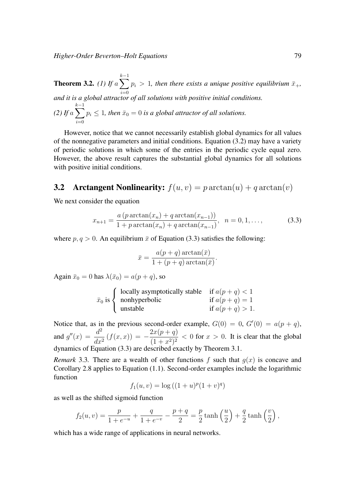*Higher-Order Beverton–Holt Equations* 79

**Theorem 3.2.** *(1)* If  $a \sum$  $k-1$  $i=0$  $p_i > 1$ , then there exists a unique positive equilibrium  $\bar{x}_{+}$ , *and it is a global attractor of all solutions with positive initial conditions.* (2) If  $a \sum$  $k-1$  $p_i \leq 1$ , then  $\bar{x}_0 = 0$  is a global attractor of all solutions.

However, notice that we cannot necessarily establish global dynamics for all values of the nonnegative parameters and initial conditions. Equation  $(3.2)$  may have a variety of periodic solutions in which some of the entries in the periodic cycle equal zero. However, the above result captures the substantial global dynamics for all solutions with positive initial conditions.

## **3.2** Arctangent Nonlinearity:  $f(u, v) = p \arctan(u) + q \arctan(v)$

We next consider the equation

 $i=0$ 

$$
x_{n+1} = \frac{a (p \arctan(x_n) + q \arctan(x_{n-1}))}{1 + p \arctan(x_n) + q \arctan(x_{n-1})}, \quad n = 0, 1, ..., \tag{3.3}
$$

where  $p, q > 0$ . An equilibrium  $\bar{x}$  of Equation (3.3) satisfies the following:

$$
\bar{x} = \frac{a(p+q) \arctan(\bar{x})}{1 + (p+q) \arctan(\bar{x})}.
$$

Again  $\bar{x}_0 = 0$  has  $\lambda(\bar{x}_0) = a(p+q)$ , so

| (locally asymptotically stable if $a(p+q) < 1$ |                   |
|------------------------------------------------|-------------------|
| $\bar{x}_0$ is $\langle$ nonhyperbolic         | if $a(p+q)=1$     |
| unstable                                       | if $a(p+q) > 1$ . |

Notice that, as in the previous second-order example,  $G(0) = 0$ ,  $G'(0) = a(p+q)$ , and  $g''(x) = \frac{d^2}{dx^2}$  $dx^2$  $(f(x, x)) = -\frac{2x(p+q)}{(1-p)^2}$  $\frac{2x(p+q)}{(1+x^2)^2}$  < 0 for  $x > 0$ . It is clear that the global dynamics of Equation (3.3) are described exactly by Theorem 3.1.

*Remark* 3.3. There are a wealth of other functions f such that  $g(x)$  is concave and Corollary 2.8 applies to Equation (1.1). Second-order examples include the logarithmic function

$$
f_1(u, v) = \log((1 + u)^p (1 + v)^q)
$$

as well as the shifted sigmoid function

$$
f_2(u, v) = \frac{p}{1 + e^{-u}} + \frac{q}{1 + e^{-v}} - \frac{p + q}{2} = \frac{p}{2} \tanh\left(\frac{u}{2}\right) + \frac{q}{2} \tanh\left(\frac{v}{2}\right),
$$

which has a wide range of applications in neural networks.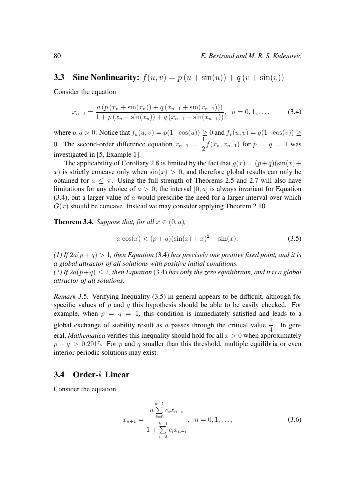## 3.3 Sine Nonlinearity:  $f(u, v) = p(u + sin(u)) + q(v + sin(v))$

Consider the equation

$$
x_{n+1} = \frac{a\left(p\left(x_n + \sin(x_n)\right) + q\left(x_{n-1} + \sin(x_{n-1})\right)\right)}{1 + p\left(x_n + \sin(x_n)\right) + q\left(x_{n-1} + \sin(x_{n-1})\right)}, \quad n = 0, 1, \dots,
$$
 (3.4)

where  $p, q > 0$ . Notice that  $f_u(u, v) = p(1 + \cos(u)) \ge 0$  and  $f_v(u, v) = q(1 + \cos(v)) \ge$ 0. The second-order difference equation  $x_{n+1} =$ 1  $\frac{1}{2}f(x_n, x_{n-1})$  for  $p = q = 1$  was investigated in [5, Example 1].

The applicability of Corollary 2.8 is limited by the fact that  $q(x) = (p+q)(\sin(x)) +$ x) is strictly concave only when  $sin(x) > 0$ , and therefore global results can only be obtained for  $a \leq \pi$ . Using the full strength of Theorems 2.5 and 2.7 will also have limitations for any choice of  $a > 0$ ; the interval [0, a] is always invariant for Equation  $(3.4)$ , but a larger value of a would prescribe the need for a larger interval over which  $G(x)$  should be concave. Instead we may consider applying Theorem 2.10.

**Theorem 3.4.** *Suppose that, for all*  $x \in (0, a)$ *,* 

$$
x\cos(x) < (p+q)(\sin(x)+x)^2 + \sin(x). \tag{3.5}
$$

*(1) If*  $2a(p+q) > 1$ *, then Equation* (3.4) *has precisely one positive fixed point, and it is a global attractor of all solutions with positive initial conditions. (2) If*  $2a(p+q) \leq 1$ , then Equation (3.4) has only the zero equilibrium, and it is a global *attractor of all solutions.*

*Remark* 3.5*.* Verifying Inequality (3.5) in general appears to be difficult, although for specific values of  $p$  and  $q$  this hypothesis should be able to be easily checked. For example, when  $p = q = 1$ , this condition is immediately satisfied and leads to a global exchange of stability result as a passes through the critical value  $\frac{1}{4}$ . In general, *Mathematica* verifies this inequality should hold for all  $x > 0$  when approximately  $p + q > 0.2015$ . For p and q smaller than this threshold, multiple equilibria or even interior periodic solutions may exist.

#### 3.4 Order-k Linear

Consider the equation

$$
x_{n+1} = \frac{a \sum_{i=0}^{k-1} c_i x_{n-i}}{1 + \sum_{i=0}^{k-1} c_i x_{n-i}}, \quad n = 0, 1, \dots,
$$
 (3.6)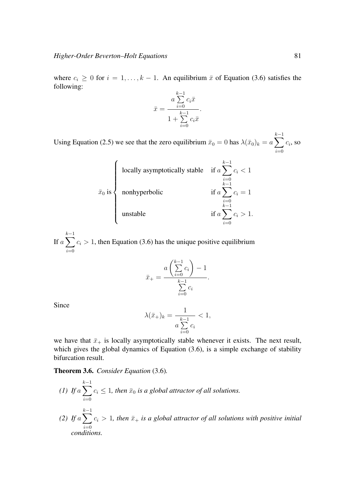where  $c_i \geq 0$  for  $i = 1, ..., k - 1$ . An equilibrium  $\bar{x}$  of Equation (3.6) satisfies the following:

$$
\bar{x} = \frac{a \sum\limits_{i=0}^{k-1} c_i \bar{x}}{1 + \sum\limits_{i=0}^{k-1} c_i \bar{x}}.
$$

Using Equation (2.5) we see that the zero equilibrium  $\bar{x}_0 = 0$  has  $\lambda(\bar{x}_0)_k = a \sum$  $k-1$  $i=0$  $c_i$ , so

$$
\bar{x}_0 \text{ is} \begin{cases} \text{locally asymptotically stable} & \text{if } a \sum_{i=0}^{k-1} c_i < 1\\ \text{nonhyperbolic} & \text{if } a \sum_{i=0}^{k-1} c_i = 1\\ \text{unstable} & \text{if } a \sum_{i=0}^{k-1} c_i > 1. \end{cases}
$$

If  $a \sum$  $k-1$  $i=0$  $c_i > 1$ , then Equation (3.6) has the unique positive equilibrium

$$
\bar{x}_{+} = \frac{a\left(\sum_{i=0}^{k-1} c_i\right) - 1}{\sum_{i=0}^{k-1} c_i}.
$$

Since

$$
\lambda(\bar{x}_+)_k = \frac{1}{a \sum\limits_{i=0}^{k-1} c_i} < 1,
$$

we have that  $\bar{x}_+$  is locally asymptotically stable whenever it exists. The next result, which gives the global dynamics of Equation (3.6), is a simple exchange of stability bifurcation result.

Theorem 3.6. *Consider Equation* (3.6)*.*

*(1)* If  $a \sum$  $k-1$  $i=0$  $c_i \leq 1$ , then  $\bar{x}_0$  is a global attractor of all solutions. (2) If  $a \sum$  $k-1$  $i=0$  $c_i > 1$ , then  $\bar{x}_+$  *is a global attractor of all solutions with positive initial conditions.*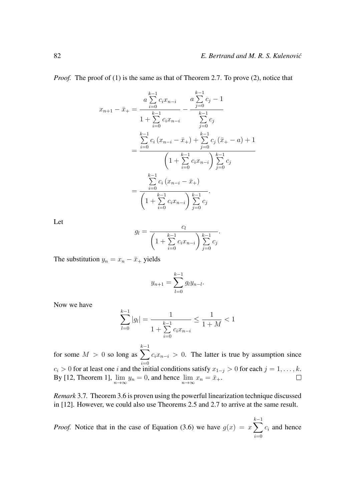*Proof.* The proof of (1) is the same as that of Theorem 2.7. To prove (2), notice that

$$
x_{n+1} - \bar{x}_{+} = \frac{a \sum_{i=0}^{k-1} c_{i} x_{n-i}}{1 + \sum_{i=0}^{k-1} c_{i} x_{n-i}} - \frac{a \sum_{j=0}^{k-1} c_{j} - 1}{\sum_{j=0}^{k-1} c_{j}}
$$
  

$$
= \frac{\sum_{i=0}^{k-1} c_{i} (x_{n-i} - \bar{x}_{+}) + \sum_{j=0}^{k-1} c_{j} (\bar{x}_{+} - a) + 1}{\left(1 + \sum_{i=0}^{k-1} c_{i} x_{n-i}\right) \sum_{j=0}^{k-1} c_{j}}
$$
  

$$
= \frac{\sum_{i=0}^{k-1} c_{i} (x_{n-i} - \bar{x}_{+})}{\left(1 + \sum_{i=0}^{k-1} c_{i} x_{n-i}\right) \sum_{j=0}^{k-1} c_{j}}
$$

Let

$$
g_l = \frac{c_l}{\left(1 + \sum_{i=0}^{k-1} c_i x_{n-i}\right) \sum_{j=0}^{k-1} c_j}.
$$

The substitution  $y_n = x_n - \bar{x}_+$  yields

$$
y_{n+1} = \sum_{l=0}^{k-1} g_l y_{n-l}.
$$

Now we have

$$
\sum_{l=0}^{k-1} |g_l| = \frac{1}{1 + \sum_{i=0}^{k-1} c_i x_{n-i}} \le \frac{1}{1+M} < 1
$$

 $k-1$ for some  $M > 0$  so long as  $\sum$  $c_i x_{n-i} > 0$ . The latter is true by assumption since  $i=0$  $c_i > 0$  for at least one i and the initial conditions satisfy  $x_{1-j} > 0$  for each  $j = 1, \ldots, k$ . By [12, Theorem 1],  $\lim_{n \to \infty} y_n = 0$ , and hence  $\lim_{n \to \infty} x_n = \bar{x}_+$ .  $\Box$ 

*Remark* 3.7*.* Theorem 3.6 is proven using the powerful linearization technique discussed in [12]. However, we could also use Theorems 2.5 and 2.7 to arrive at the same result.

*Proof.* Notice that in the case of Equation (3.6) we have  $g(x) = x \sum$  $k-1$  $i=0$  $c_i$  and hence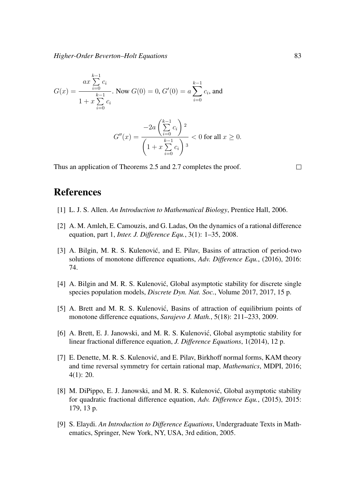$$
G(x) = \frac{ax \sum_{i=0}^{k-1} c_i}{1 + x \sum_{i=0}^{k-1} c_i}.
$$
 Now  $G(0) = 0$ ,  $G'(0) = a \sum_{i=0}^{k-1} c_i$ , and  

$$
G''(x) = \frac{-2a \left(\sum_{i=0}^{k-1} c_i\right)^2}{\left(1 + x \sum_{i=0}^{k-1} c_i\right)^3} < 0 \text{ for all } x \ge 0.
$$

Thus an application of Theorems 2.5 and 2.7 completes the proof.

#### $\Box$

## References

- [1] L. J. S. Allen. *An Introduction to Mathematical Biology*, Prentice Hall, 2006.
- [2] A. M. Amleh, E. Camouzis, and G. Ladas, On the dynamics of a rational difference equation, part 1, *Inter. J. Difference Equ.*, 3(1): 1–35, 2008.
- [3] A. Bilgin, M. R. S. Kulenović, and E. Pilav, Basins of attraction of period-two solutions of monotone difference equations, *Adv. Difference Equ.*, (2016), 2016: 74.
- [4] A. Bilgin and M. R. S. Kulenović, Global asymptotic stability for discrete single species population models, *Discrete Dyn. Nat. Soc.*, Volume 2017, 2017, 15 p.
- [5] A. Brett and M. R. S. Kulenović, Basins of attraction of equilibrium points of monotone difference equations, *Sarajevo J. Math.*, 5(18): 211–233, 2009.
- [6] A. Brett, E. J. Janowski, and M. R. S. Kulenović, Global asymptotic stability for linear fractional difference equation, *J. Difference Equations*, 1(2014), 12 p.
- [7] E. Denette, M. R. S. Kulenović, and E. Pilav, Birkhoff normal forms, KAM theory and time reversal symmetry for certain rational map, *Mathematics*, MDPI, 2016; 4(1): 20.
- [8] M. DiPippo, E. J. Janowski, and M. R. S. Kulenović, Global asymptotic stability for quadratic fractional difference equation, *Adv. Difference Equ.*, (2015), 2015: 179, 13 p.
- [9] S. Elaydi. *An Introduction to Difference Equations*, Undergraduate Texts in Mathematics, Springer, New York, NY, USA, 3rd edition, 2005.